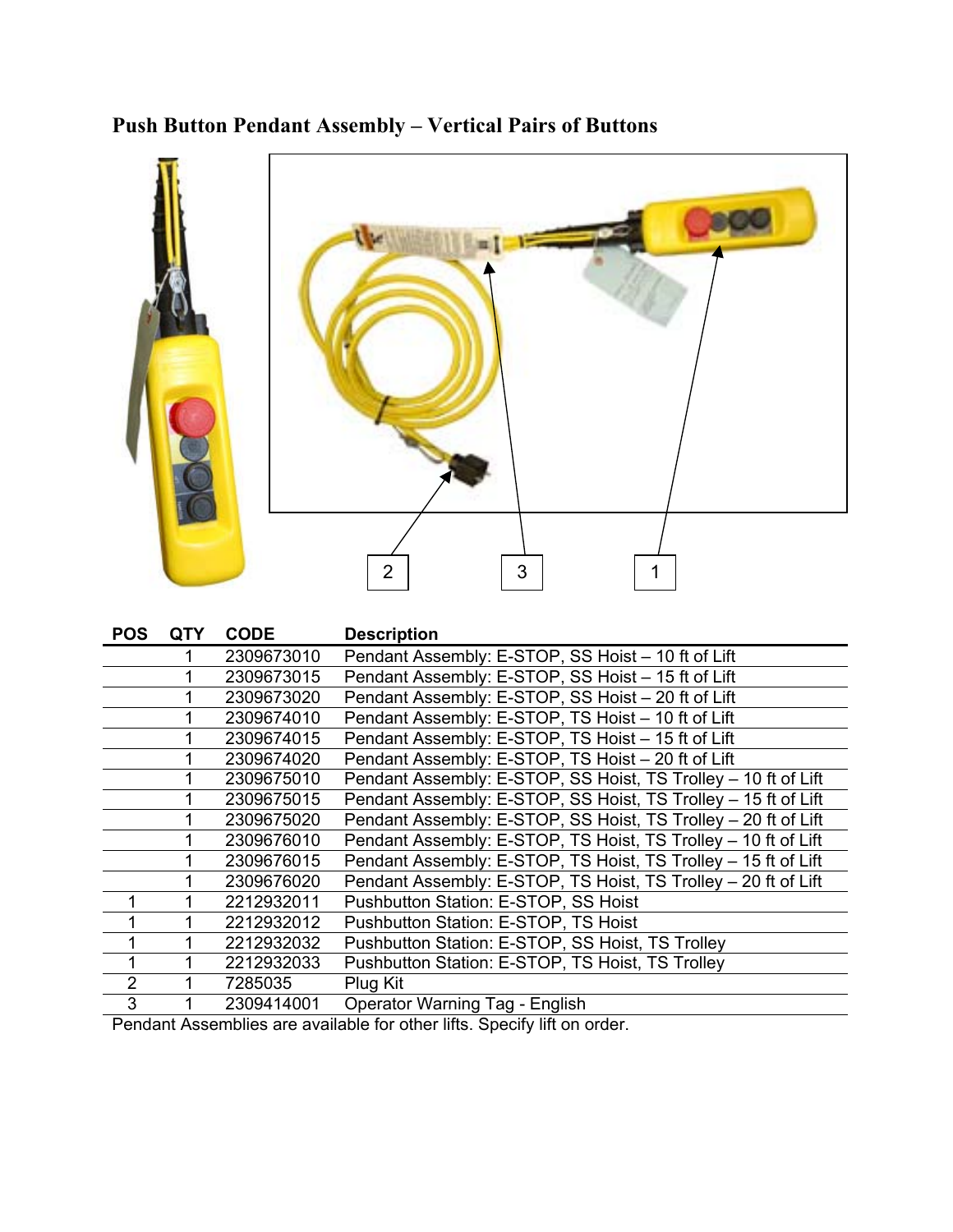## **Push Button Pendant Assembly – Vertical Pairs of Buttons**



| <b>POS</b>     | <b>QTY</b> | <b>CODE</b> | <b>Description</b>                                             |
|----------------|------------|-------------|----------------------------------------------------------------|
|                |            | 2309673010  | Pendant Assembly: E-STOP, SS Hoist - 10 ft of Lift             |
|                |            | 2309673015  | Pendant Assembly: E-STOP, SS Hoist - 15 ft of Lift             |
|                |            | 2309673020  | Pendant Assembly: E-STOP, SS Hoist - 20 ft of Lift             |
|                |            | 2309674010  | Pendant Assembly: E-STOP, TS Hoist - 10 ft of Lift             |
|                |            | 2309674015  | Pendant Assembly: E-STOP, TS Hoist - 15 ft of Lift             |
|                |            | 2309674020  | Pendant Assembly: E-STOP, TS Hoist - 20 ft of Lift             |
|                |            | 2309675010  | Pendant Assembly: E-STOP, SS Hoist, TS Trolley - 10 ft of Lift |
|                |            | 2309675015  | Pendant Assembly: E-STOP, SS Hoist, TS Trolley - 15 ft of Lift |
|                |            | 2309675020  | Pendant Assembly: E-STOP, SS Hoist, TS Trolley - 20 ft of Lift |
|                |            | 2309676010  | Pendant Assembly: E-STOP, TS Hoist, TS Trolley - 10 ft of Lift |
|                |            | 2309676015  | Pendant Assembly: E-STOP, TS Hoist, TS Trolley - 15 ft of Lift |
|                |            | 2309676020  | Pendant Assembly: E-STOP, TS Hoist, TS Trolley - 20 ft of Lift |
| $\mathbf{1}$   |            | 2212932011  | Pushbutton Station: E-STOP, SS Hoist                           |
|                |            | 2212932012  | Pushbutton Station: E-STOP, TS Hoist                           |
| 1              |            | 2212932032  | Pushbutton Station: E-STOP, SS Hoist, TS Trolley               |
| 1              |            | 2212932033  | Pushbutton Station: E-STOP, TS Hoist, TS Trolley               |
| $\overline{2}$ |            | 7285035     | Plug Kit                                                       |
| 3              |            | 2309414001  | <b>Operator Warning Tag - English</b>                          |
|                |            |             |                                                                |

Pendant Assemblies are available for other lifts. Specify lift on order.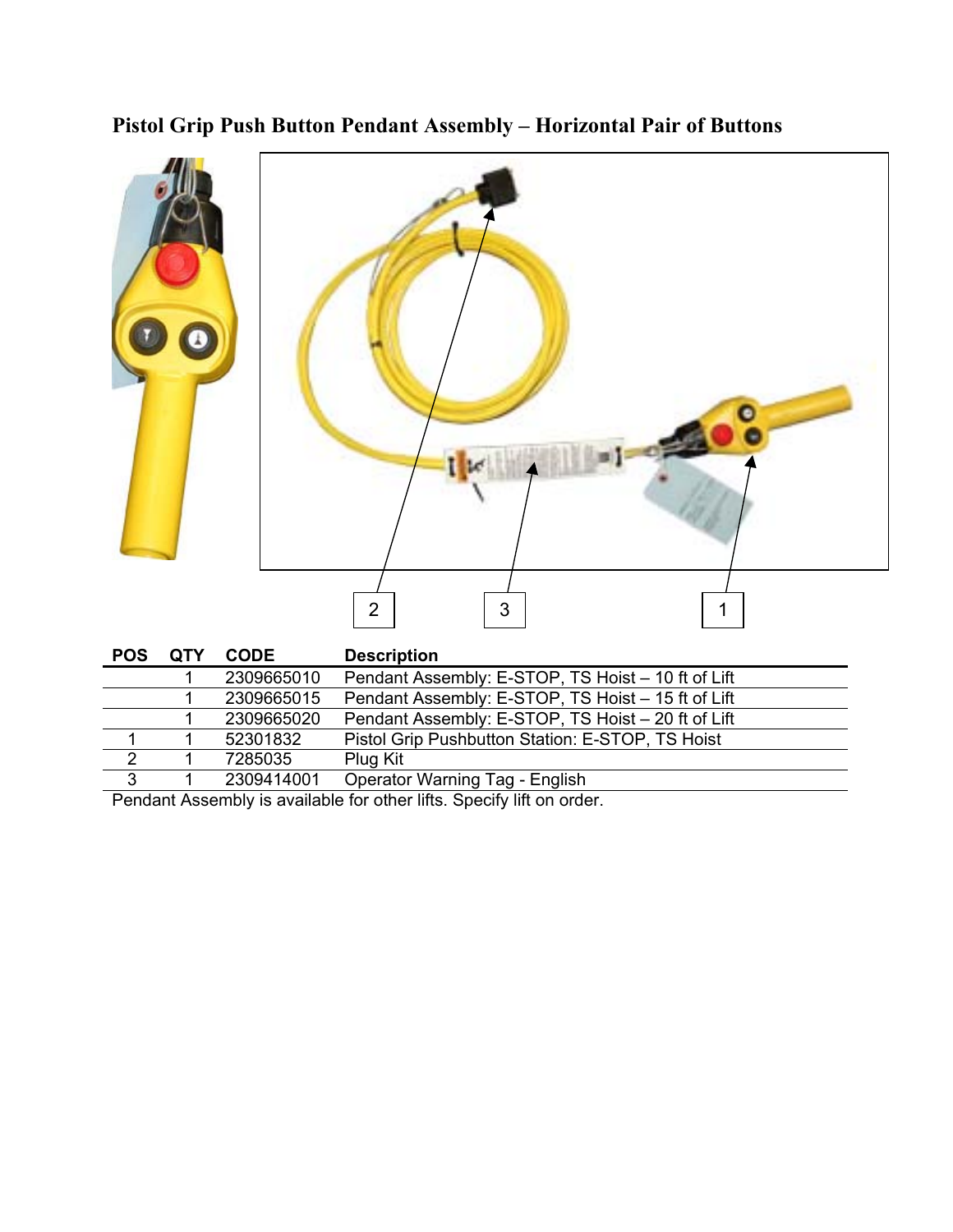**Pistol Grip Push Button Pendant Assembly – Horizontal Pair of Buttons** 



|                | 2309665010 | Pendant Assembly: E-STOP, TS Hoist - 10 ft of Lift |
|----------------|------------|----------------------------------------------------|
|                | 2309665015 | Pendant Assembly: E-STOP, TS Hoist - 15 ft of Lift |
|                | 2309665020 | Pendant Assembly: E-STOP, TS Hoist - 20 ft of Lift |
|                | 52301832   | Pistol Grip Pushbutton Station: E-STOP, TS Hoist   |
| $\overline{2}$ | 7285035    | Plug Kit                                           |
| 3              | 2309414001 | <b>Operator Warning Tag - English</b>              |

Pendant Assembly is available for other lifts. Specify lift on order.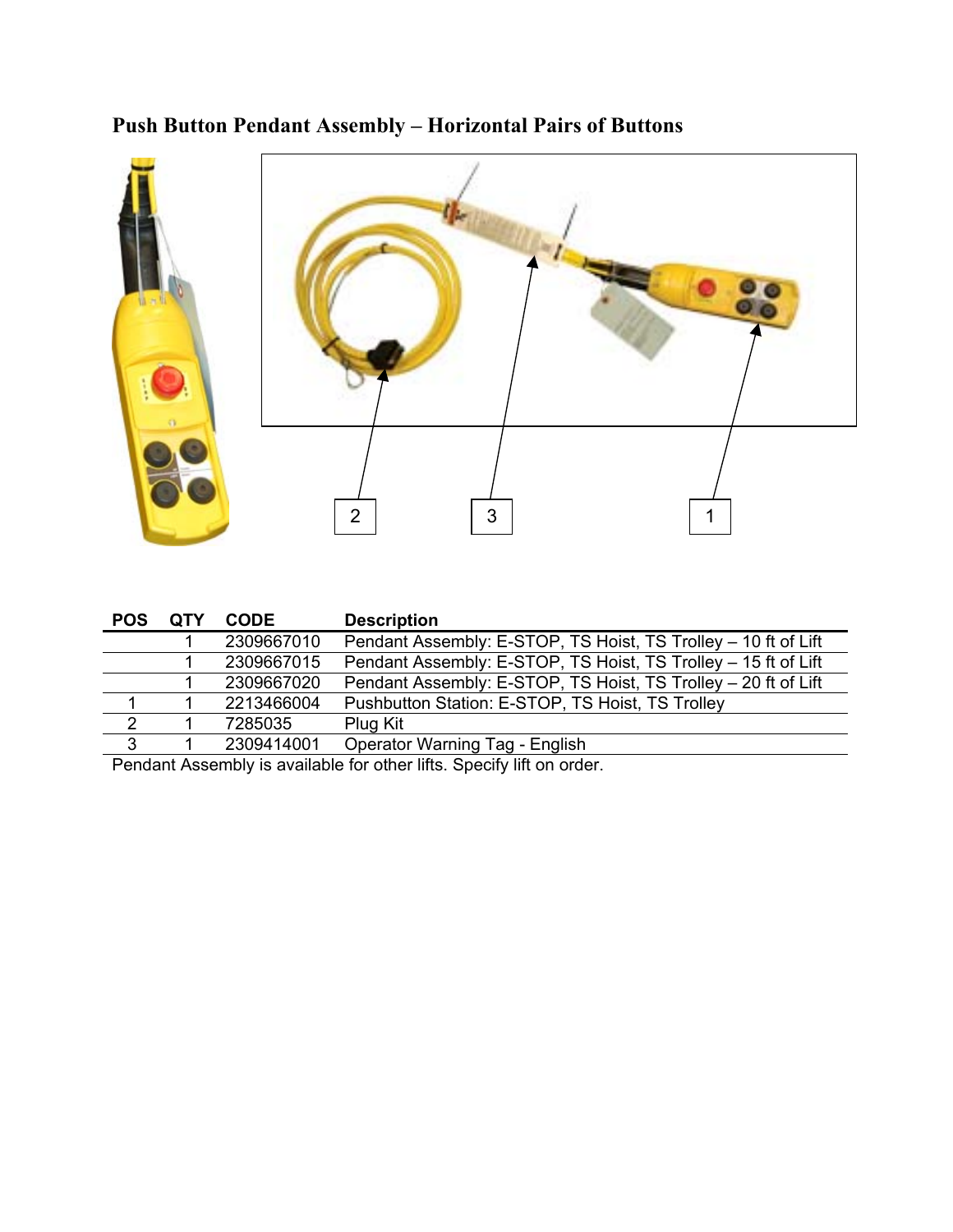## **Push Button Pendant Assembly – Horizontal Pairs of Buttons**



| <b>POS</b> | <b>OTY</b> | <b>CODE</b> | <b>Description</b>                                             |
|------------|------------|-------------|----------------------------------------------------------------|
|            |            | 2309667010  | Pendant Assembly: E-STOP, TS Hoist, TS Trolley - 10 ft of Lift |
|            |            | 2309667015  | Pendant Assembly: E-STOP, TS Hoist, TS Trolley - 15 ft of Lift |
|            |            | 2309667020  | Pendant Assembly: E-STOP, TS Hoist, TS Trolley - 20 ft of Lift |
|            |            | 2213466004  | Pushbutton Station: E-STOP, TS Hoist, TS Trolley               |
| 2          |            | 7285035     | Plug Kit                                                       |
| 3          |            | 2309414001  | <b>Operator Warning Tag - English</b>                          |

Pendant Assembly is available for other lifts. Specify lift on order.